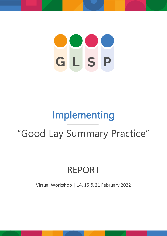# GLSP

# Implementing

# "Good Lay Summary Practice"

# REPORT

Virtual Workshop | 14, 15 & 21 February 2022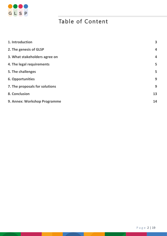

# Table of Content

| 1. Introduction                | $\overline{\mathbf{3}}$ |
|--------------------------------|-------------------------|
| 2. The genesis of GLSP         | $\overline{\mathbf{4}}$ |
| 3. What stakeholders agree on  | $\overline{4}$          |
| 4. The legal requirements      | 5                       |
| 5. The challenges              | 5                       |
| <b>6. Opportunities</b>        | 9                       |
| 7. The proposals for solutions | 9                       |
| 8. Conclusion                  | 13                      |
| 9. Annex: Workshop Programme   | 14                      |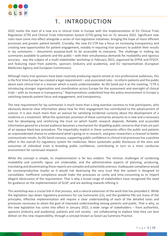

## 1. INTRODUCTION

2022 marks the start of a new era in clinical trials in Europe with the implementation of EU Clinical Trials Regulation (CTR) and Clinical Trials Information System (CTIS) going live on 31 January 2022. Significant new rules have come into effect alongside a series of non-legislative initiatives, bringing the hope of more efficient processes and greater patient benefit. Crucially, the new EU CTR has a focus on increasing transparency and creating new opportunities for patient engagement, notably in requiring trial sponsors to publish their results in lay summaries – documents purpose-built to be accessible to everyone. The challenge in making lay summaries available to patients and the public – with their simultaneous demands for readability and rigorous accuracy - was the subject of a multi-stakeholder workshop in February 2022, organised by EFPIA and EFGCP, and featuring input from patients, sponsors (industry and academia), and EU representatives (European Medicines Agency and European Commission).

Although many trial sponsors have been routinely producing reports aimed at non-professional audiences, this is the first time Europe has created a legal requirement – and associated rules - to inform patients and the public about each clinical trial in a manner which is easily understandable. As DG Santé put it at the meeting, "CTR is introducing stronger organisation and coordination across Europe for the assessment and oversight of clinical trials – with an increase in transparency." Representatives underlined how the policy environment in Europe is switching towards patient focus and engagement, and transparency.

The new requirement for lay summaries is much more than a long-overdue courtesy to trial participants, who obviously deserve clear information about how far their engagement has contributed to the advancement of science. It is also much more than an avenue for satisfying incidental curiosity about the development of a medicine or a treatment. What the systematic provision of these summaries amounts to is new and a necessary tool for developing and reinforcing the trust on which health research depends. Reliable and accessible information geared to a broad audience becomes a mechanism for dispelling public concerns that trials are part of an opaque black-box procedure. The impartiality implicit in these summaries offers the public and patients an unprecedented chance to understand what's going on in research, and gives researchers a channel to better communicate results. As DG Santé conveys, supporting public confidence in clinical trial processes has a positive effect in the overall EU regulatory system for medicines. More systematic public disclosure of the aims and outcomes of individual trials is breeding public confidence, contributing in turn to a more conducive environment for continued research.

While the concept is simple, its implementation is far less evident. The intrinsic challenges of combining readability and scientific rigour are undeniable, and the administrative aspects of planning, producing, translating and disseminating these reports are complex and potentially onerous. Inadequate compliance would be counterproductive insofar as it would risk destroying the very trust that the system is designed to consolidate. Inefficient compliance would make the processes so costly and time-consuming as to imperil diligent observance of the requirement. That is why a broad range of stakeholders have recognized the need for guidance on the implementation of GLSP, and are working towards refining it.

This workshop was a crucial link in that process, and a natural extension of the work that has preceded it. While the legislation lays down regulatory provisions for Lay Summaries (LS), and the guideline fills out many of the principles, effective implementation will require a clear understanding of each of the detailed tasks and processes necessary to attain the goal of improved understanding among patients and public. That is why, as the new legislation has come into effect in January 2022, a wide range of stakeholders – from authorities, sponsors (industry and academia), patients and civil society - are collaborating to explore how they can best deliver on this new responsibility, through a concept known as Good Lay Summary Practice.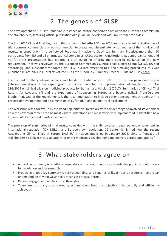

## 2. The genesis of GLSP

The development of GLSP is a remarkable instance of intense cooperation between the European Commission and stakeholders, featuring official publication of a guideline developed with input from both sides.

The EU's 2014 Clinical Trial Regulation that came into full effect 31 Jan 2022 imposes a broad obligation on all trial sponsors, commercial and non-commercial, to create and disseminate lay summaries of their clinical trial results. In preparation, in a self-styled Roadmap Initiative to Good Lay Summary Practice, more than 60 participants from EU and US pharmaceutical companies, CROs, academic institutions, patient organisations and not-for-profit organisations had created a draft guideline offering more specific guidance on the new requirement. That was reviewed by the European Commission's Clinical Trials Expert Group (CTEG), revised accordingly, and subsequently adopted by CTEG. In a rare exception to EU rule-making procedures, this was published in late 2021 in EudraLex Volume 10 as the "Good Lay Summary Practice Guideline". Link [here.](https://ec.europa.eu/health/system/files/2021-10/glsp_en_0.pdf)

The content of the guideline reflects and builds on earlier work – both from the European Commission ("Recommendations of the expert group on clinical trials for the implementation of Regulation (EU) No 536/2014 on clinical trials on medicinal products for human use. Version 2 (2017): Summaries of Clinical Trial Results for Laypersons") and the experience of sponsors in Europe and beyond (MRCT, TransCelerate Biopharma). One of the key elements is the recommendation to include patient engagement throughout the process of development and dissemination of LS for adult and paediatric clinical studies.

This workshop was a follow-up by the Roadmap Initiative, to explore with a wider range of involved stakeholders how the new requirement can be most widely understood and most effectively implemented. It identified how hopes could be met and hurdles overcome.

The provision of summaries of trial results coincides with the shift towards greater patient engagement in international regulation (ICH-E8(R1)) and Europe's own evolution. DG Santé highlighted how the recent Accelerating Clinical Trials in Europe (ACT-EU) initiative, published in January 2022, aims to "engage all stakeholders to deliver inclusive patient-oriented medicines development and delivery across populations."

## 3. What stakeholders agree on

- A good lay summary is an ethical imperative and a good thing for patients, for public, and ultimately for regulation and for research.
- Producing a good lay summary is very demanding, and requires skills, time and resources and clear understanding of what GLSP really means in practical terms.
- Patient engagement will be critical throughout.
- There are still many unanswered questions about how the objective is to be fully and efficiently achieved.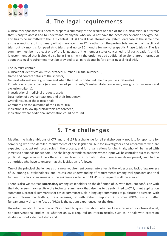

## 4. The legal requirements

Clinical trial sponsors will need to prepare a summary of the results of each of their clinical trials in a format that is easy to access and to understand by anyone who would not have the necessary scientific background. This has to be submitted to the EU's central CTIS (Clinical Trial Information System) database at the same time as the scientific results summary – that is, no later than 12 months from the protocol-defined end of the clinical trial (but six months for paediatric trials, and up to 30 months for non-therapeutic Phase 1 trials). The lay summary must be in at least one of the languages of the member states concerned (trial participation), and it is recommended that it should also be in English, with the option to add additional versions later. Information about this legal requirement must be provided to all participants before entering a clinical trial.

The LS must contain:

Clinical trial identification (title, protocol number, EU trial number...);

Name and contact details of the sponsor;

General information (e.g. where and when the trial is conducted, main objectives, rationale);

Population of participants (e.g. number of participants/Member State concerned, age groups; inclusion and exclusion criteria);

Investigational medicinal products used;

Description of adverse reactions and their frequency;

Overall results of the clinical trial:

Comments on the outcome of the clinical trial;

Indication if follow up clinical trials are foreseen;

Indication where additional information could be found.

## 5. The challenges

Meeting the high ambitions of CTR and of GLSP is a challenge for all stakeholders – not just for sponsors for complying with the detailed requirements of the legislation, but for investigators and researchers who are expected to adopt reinforced roles in the process, and for organisations funding trials, who will be faced with increased demands for support. The challenge extends to patients whose input will be central to success, to the public at large who will be offered a new level of information about medicine development, and to the authorities who have to ensure that the legislation is followed.

One of the principal challenges as this new requirement comes into effect is the widespread **lack of awareness** of LS, among all stakeholders, and insufficient understanding of requirements among trial sponsors and trial funders. The lack of awareness of the guidance available on GLSP is consequently all the greater.

There is also widespread **uncertainty** among stakeholders on the definition of LS, with frequent confusion with the tabular summary results – the technical summary – that also has to be submitted to CTIS, grant application summaries, protocol summaries for ethics committees, plain language summaries of publication abstracts, with patient information leaflets, press releases, or with Patient Reported Outcomes (PROs) (which differ fundamentally since the focus of PROs is the patient experience, not the drug).

Uncertainties about the scope of LS also lead to questions about whether LS are required for observational, non-interventional studies, or whether an LS is required on interim results, such as in trials with extension studies without a defined study end.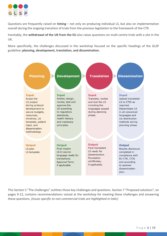

Questions are frequently raised on **timing** – not only on producing individual LS, but also on implementation overall during the ongoing transition of trials from the previous legislation to the framework of the CTR.

Inevitably, the **withdrawal of the UK from the EU** also raises questions on multi-centre trials with a site in the UK.

More specifically, the challenges discussed in the workshop focused on the specific headings of the GLSP guideline**: planning, development, translation, and dissemination.**



This Section 5 "The challenges" outlines those key challenges and questions. Section 7 "Proposed solutions", on pages 9-12, contains recommendations voiced at the workshop for meeting these challenges and answering these questions. *(Issues specific to non-commercial trials are highlighted in italic)*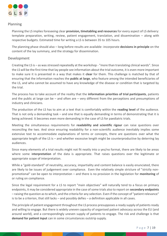

## Planning

Planning the LS implies foreseeing clear **provision, timetabling and resources** for every aspect of LS delivery: template preparation, writing, review, patient engagement, translation, and dissemination – along with respective budgets. Estimated time for writing a LS is between 35 to 105 hours.

The planning phase should also – long before results are available -incorporate **decisions in principle** on the content of the lay summary, and the strategy for dissemination.

## Development

Creating the LS is – as was stressed repeatedly at the workshop - "more than translating clinical words". Since the LS will be the first time that lay people see information about the trial outcome, it is even more important to make sure it is presented in a way that makes it **clear** for them. This challenge is matched by that of ensuring that the information reaches the **public at large**, who feature among the intended beneficiaries of the LS, and who cannot be assumed to have any knowledge of the disease or condition that is targeted by the trial.

The process has to take account of the reality that the **information priorities of trial participants**, patients and the public at large can be – and often are – very different from the perceptions and presumptions of industry and clinicians.

The production of the LS has to aim at a text that is comfortably within the **reading level** of the audience. That is not only a demanding task – and one that is equally demanding in terms of demonstrating that it is being achieved. It becomes even more demanding in the case of LS for paediatric trials.

Meeting the simultaneous requirements for **readability and scientific rigour** can raise questions over reconciling the two. And since ensuring readability for a non-scientific audience inevitably implies some extensive text to accommodate explanations of terms or concepts, there are questions over what the appropriate length of the LS is – and whether excessive length might be counterproductive by deterring lay audiences.

Since many elements of a trial results might not fit neatly into a yes/no format, there are likely to be areas where some i**nterpretation** of the data is appropriate. That raises questions over the legitimate or appropriate scope of interpretation.

While a "gold-standard" of neutrality, accuracy, impartiality and content balance is easily enunciated, there are likely to be issues of judgement over compliance. Even the relatively simple stricture of "strictly nonpromotional" can be open to interpretation – and there is no provision in the legislation for **monitoring** of or ruling on compliance.

Since the legal requirement for a LS to report "main objectives" will naturally tend to a focus on primary endpoints, it may be considered appropriate in the case of some trials also to report on **secondary endpoints** – raising the question as to which, and the criteria for any selection. Even if the concept of "patient relevance" is to be a criterion, that still lacks – and possibly defies – a definition applicable in all cases.

The principle of patient engagement throughout the LS process presupposes a ready supply of patients ready and willing to engage. But there is widely uneven capacity of organised patient advocacy across the EU (and around world), and a correspondingly uneven supply of patients to engage. The risk and challenge is that **demand for patient input** can in some circumstances outstrip supply.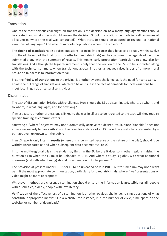

## **Translation**

One of the most obvious challenges on translation is the decision on **how many language versions** should be created, and what criteria should govern the decision. Should translations be made into all languages of all countries where the trial was conducted? What attitude should be adopted to regional or national variations of languages? And what of minority populations in countries covered?

The **timing of translations** also raises questions, principally because they have to be ready within twelve months of the end of the trial (or six months for paediatric trials) so they can meet the legal deadline to be submitted along with the summary of results. This means early preparation (particularly to allow also for translation). And although the legal requirement is only that one version of the LS is to be submitted along with the technical summary, when translations appear in other languages raises issues of a more moral nature on fair access to information for all.

Ensuring **fidelity of translations** to the original is another evident challenge, as is the need for consistency across the full range of translations, which can be an issue in the face of demands for local variations to meet local linguistic or cultural sensitivities.

## Dissemination

The task of dissemination bristles with challenges. How should the LS be disseminated, where, by whom, and to whom, in what languages, and for how long?

If investigators or other professionals linked to the trial itself are to be recruited to the task, will they require specific **training as communicators**?

Satisfying a "where" objective may not automatically achieve the desired result, since "findable" does not equate necessarily to **"accessible**" – in the case, for instance of an LS placed on a website rarely visited by – perhaps even unknown to - the public.

If an LS reports only **interim results (**where this is permitted because of the nature of the trial), should it be withdrawn/updated as and when subsequent data becomes available?

In some **multi-regional trials**, the study may finish in the EU before it does so in other regions, raising the question as to when the LS must be uploaded to CTIS. And where a study is global, with what additional measures (and with what timing) should dissemination of LS be pursued?

The provision at present under CTR is for LS to be uploaded only in **PDF** – but this medium may not always permit the most appropriate communication, particularly for **paediatric trials**, where "live" presentations or video might be more appropriate.

Whichever methods are chosen, dissemination should ensure the information is **accessible for all**: people with disabilities, elderly, people with low literacy.

**Verification** of the effectiveness of dissemination is another obvious challenge, raising questions of what constitute appropriate metrics? On a website, for instance, is it the number of clicks, time spent on the website, or number of downloads?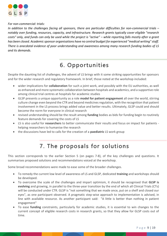

## *For non-commercial: trials:*

*In addition to the challenges facing all sponsors, there are particular difficulties for non-commercial trials – notably over funding, resources, capacity, and infrastructure. Research grants typically cover eligible "research costs" only, and funds can only be used while the project is "active" – while reporting falls mostly after a grant has been closed. Academic sponsor organisations have no central budget for experienced "medical writing" staff. There is anecdotal evidence of poor understanding and awareness among many research funding bodies of LS and its demands.*

## 6. Opportunities

Despite the daunting list of challenges, the advent of LS brings with it some striking opportunities for sponsors and for the wider research and regulatory framework. In brief, those noted at the workshop included:

- wider implications for **collaboration** for such a joint work, and possibly with the EU authorities, as well as enhanced and more systematic collaboration between hospitals and academics, and a supportive role among clinical trial centres at hospitals for academic studies
- GLSP presents a unique opportunity as a role **model for patient engagement** all over the world, stirring culture change even beyond the CTR and beyond medicines regulation, with the recognition that patient involvement in the LS process brings added value and better results. Ultimately, GLSP could and should become the norm for everyone in clinical research
- revised understanding should be the result among **funding** bodies as bids for funding begin to routinely feature demands for covering the costs of LS
- LS is also useful for **researchers** to better communicate their results and focus on impact for patients helping researchers to humanise the research
- the discussions have led to calls for the creation of a **paediatric** LS work group

## 7. The proposals for solutions

This section corresponds to the earlier Section 5 (on pages 7-8), of the key challenges and questions. It summarises proposed solutions and recommendations voiced at the workshop.

Some broad recommendations were made to ease some of the broader challenges.

- To remedy the current low level of awareness of LS and GLSP, dedicated **training** and workshops should be developed.
- To overcome the scale of the challenges and impart optimism, it should be recognised that **GLSP is evolving** and growing, in parallel to the three-year transition by the end of which all Clinical Trials (CTs) will be conducted under CTR. GLSP is "not something that we made once, put on a shelf and closed our eyes", as one participant observed. A pragmatic step-wise approach to implementation is advised, in line with available resource. As another participant said: "A little is better than nothing in patient engagement"
- To ease **funding** constraints, particularly for academic studies, it is essential to win changes to the current concept of eligible research costs in research grants, so that they allow for GLSP costs out of time.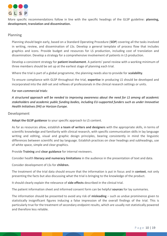

More specific recommendations follow in line with the specific headings of the GLSP guideline: **planning, development, translation and dissemination.**

## Planning

Planning should begin early, based on a Standard Operating Procedure (**SOP**) covering all the tasks involved in writing, review, and dissemination of LSs. Develop a general template of process flow that includes graphics and icons. Provide budget and resources for LS production, including cost of translation and dissemination. Develop a strategy for a comprehensive involvement of patients in LS production.

Develop a consistent strategy for **patient involvement**. A patients' panel review with a working minimum of three members should be set up at the earliest stage of planning each trial.

Where the trial is part of a global programme, the planning needs also to provide for **scalability**.

To ensure compliance with GLSP throughout the trial, **expertise** in producing LS should be developed and incorporated into the skill-set and reflexes of professionals in the clinical research settings or units.

## *For non-commercial trials:*

*A structured approach will be needed to improving awareness about the need for LS among all academic stakeholders and academic public funding bodies, including EU-supported funders such as under Innovative Health Initiatives (IHI) or Horizon Europe.*

## Development

**Adopt the GLSP guidance** to your specific approach to LS content.

As far as resources allow, establish **a team of writers and designers** with the appropriate skills, in terms of scientific knowledge and familiarity with clinical research, with specific communication skills in lay language writing and editing, visual and graphic design principles, bearing consistently in mind the linguistic differences between scientific and lay language. Establish practices on clear headings and subheadings, use of white space, simple and clear graphics.

Provide **Training** and **clear guidance** for internal reviewers.

Consider health **literacy and numeracy limitations** in the audience in the presentation of text and data.

Consider development of LSs for **children.**

The treatment of the trial data should ensure that the information is put in focus and in **context**, not only presenting the facts but also discussing what the trial is bringing to the knowledge of the product.

It should clearly explain the relevance of **side effects** described in the clinical trial.

The patient information sheet and informed consent form can be helpful **sources** for lay summaries.

The information should be presented to avoid any risk of **misleading** – such as undue prominence given to statistically insignificant figures inducing a false impression of the overall findings of the trial. This is particularly true for the treatment of secondary endpoint results, which are usually not statistically powered and therefore less reliable.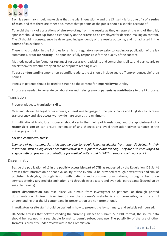

Each lay summary should make clear that the trial in question – and the LS itself - is just **one of a of a series of tests**, and that there are other documents that patients or the public should also take account of.

To avoid the risk of accusations of **cherry-picking** from the results as they emerge at the end of the trial, sponsors should state up-front a clear policy on the criteria to be employed for decision-making on content. The LS should in consequence be developed independently of the results outcome, and not adjusted in the course of its evolution.

There is no provision in the EU rules for ethics or regulatory review prior to loading or publication of the lay summaries, or for **monitoring**. The sponsor is fully responsible for the quality of the content.

Methods need to be found for **testing LS** for accuracy, readability and comprehensibility, and particularly to check them for whether they hit the appropriate reading level.

To ease **understanding** among non-scientific readers, the LS should include audio of "unpronounceable" drug names.

Panels of patients should be used to scrutinise the content for **impartiality**/neutrality.

Efforts are needed to generate collaboration and training among **patients as contributors** to the LS process.

## Translation

## Procure adequate **translation skills**.

Over and above the legal requirements, at least one language of the participants and English - to increase transparency and give access worldwide - are seen as the **minimum**.

In multinational trials, local sponsors should verify the fidelity of translations, and the appointment of a **responsible person** can ensure legitimacy of any changes and avoid translation-driven variance in the messaging output.

## *For non-commercial trials:*

*Sponsors of non-commercial trials may be able to recruit fellow academics from other disciplines in their institution (such as linguistics or communications) to support relevant training. They are also encouraged to engage with professional organisations for medical writers and EUPATI to support their work on LS.* 

## Dissemination

Beside the publication of LS in the **publicly accessible part of CTIS** as requested by the Regulation, DG Santé advises that information on that availability of the LS should be provided through newsletters and similar published highlights, through liaison with patients and consumer organisations, through subscription services offering targeted dissemination, and through investigators and even trial participants (backed up by suitable training).

**Direct dissemination** can take place via e-mails from investigator to patients, or through printed documentation. **Indirect dissemination** on the sponsor's website is also permissible, on the strict understanding that the LS content and its presentation are non-promotional.

Investigators or site staff should be **trained** in how to present the lay summary, and suitably reimbursed.

DG Santé advises that notwithstanding the current guidance to submit LS in PDF format, the source data should be retained in a searchable format to permit subsequent use. The possibility of the use of other **formats** is currently under review within the Commission.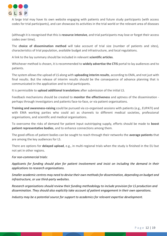

A large trial may have its own website engaging with patients and future study participants (with access codes for trial participants), and can showcase its activities in the trial world or the relevant area of diseases

(although it is recognised that this is **resource intensive**, and trial participants may lose or forget their access codes over time).

The **choice of dissemination method** will take account of trial size (number of patients and sites), characteristics of trial population, available budget and infrastructure, and local regulations.

A link to the lay summary should be included in relevant **scientific articles**.

Whichever method is chosen, it is recommended to **widely advertise the CTIS** portal to lay audiences and to patients.

The system allows the upload of LS along with **uploading interim results**, according to EMA, and not just with final results. But the release of interim results should be the consequence of advance planning that is communicated in the application and to trial participants.

It is permissible to **upload additional translations** after submission of the initial LS.

Feedback mechanisms should be created to **monitor the effectiveness** and aptness of the dissemination perhaps through investigators and patients face-to-face, or via patient organisations.

**Training and awareness-raising** could be pursued via co-organised sessions with patients (e.g., EUPATI) and with EMA working parties who could act as channels to different medical societies, professional organisations, and scientific and medical organisations.

To overcome the risks of demand for patient input outstripping supply, efforts should be made to **boost patient representative bodies**, and to enhance connections among them.

The good offices of patient bodies can be sought to reach through their networks the **average patients** that are among the key audiences for LS.

There are options for **delayed upload**, e.g., in multi-regional trials when the study is finished in the EU but not yet in other regions.

## *For non-commercial trials:*

*Applicants for funding should plan for patient involvement and insist on including the demand in their applications to research organisations.*

*Smaller academic centres may need to devise their own methods for dissemination, depending on budget and infrastructure, or use third-party websites*.

*Research organisations should review their funding methodology to include provision for LS production and dissemination. They should also explicitly take account of patient engagement in their own operations.*

*Industry may be a potential source for support to academics for relevant expertise development.*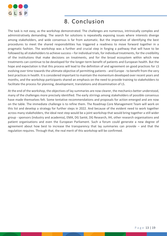

## 8. Conclusion

The task is not easy, as the workshop demonstrated. The challenges are numerous, intrinsically complex and administratively demanding. The search for solutions is repeatedly exposing issues where interests diverge among stakeholders, and wide consensus is far from automatic. But the imperative of identifying the best procedures to meet the shared responsibilities has triggered a readiness to move forward together in a pragmatic fashion. The workshop was a further and crucial step in forging a pathway that will have to be followed by all stakeholders to achieve success – for individual trials, for individual treatments, for the credibility of the institutions that make decisions on treatments, and for the broad ecosystem within which new treatments can continue to be developed for the longer-term benefit of patients and European health. But the hope and expectation is that this process will lead to the definition of and agreement on good practices for LS evolving over time towards the ultimate objective of permitting patients - and Europe - to benefit from the very best practices in health. It is considered important to maintain the momentum developed over recent years and months, and the workshop participants shared an emphasis on the need to provide training to stakeholders to facilitate the process for planning, development, translations and dissemination of LS.

At the end of the workshop, the objectives of lay summaries are now clearer, the mechanics better understood, many of the challenges more precisely identified. The early stirrings among stakeholders of possible consensus have made themselves felt. Some tentative recommendations and proposals for action emerged and are now on the table. The immediate challenge is to refine them. The Roadmap Core Management Team will work on this list and develop a strategy for further steps in 2022. And because of the evident need to work together across many stakeholders, the ideal next step would be a joint workshop that would bring together a still wider group - sponsors (industry and academia), EMA, DG Santé, DG Research, IHI, other research organisations and patient organisations and even the European Parliament. Such a forum could generate a new degree of agreement about how best to increase the transparency that lay summaries can provide – and that the regulation requires. Through that, the real merit of this workshop will be confirmed.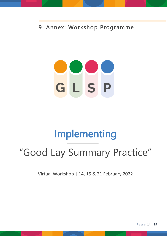9. Annex: Workshop Programme

# GLSP

# Implementing

# "Good Lay Summary Practice"

Virtual Workshop | 14, 15 & 21 February 2022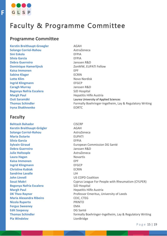

# Faculty & Programme Committee

## **Programme Committee**

**Kerstin Breithaupt-Groegler** AGAH **Solange Corriol-Rohou** AstraZeneca **Sini Eskola** EFPIA **Silvia Garcia** EFPIA **Debra Guerreiro** Janssen R&D **Dominique Hamerlijnck** ZonMW, EUPATI Fellow **Kaisa Immonen** EPF **Sabine Klager** ECRIN **Lotte Klim** Novo Nordisk **Ingrid Klingmann** EFGCP **Caragh Murray** Janssen R&D **Begonya Nafria Escalera** SJD Hospital **Margit Paul Margit Paul Hepatitis Hilfe Austria Iryna Shakhnenko EORTC** 

## **Faculty**

**Behtash Bahador** CISCRP **Kerstin Breithaupt-Grögler** AGAH **Solange Corriol-Rohou AstraZeneca Maria Dutarte** EUPATI **Silvia Garcia** EFPIA **Debra Guerreiro** Janssen R&D **Julie Holtzople AstraZeneca Laura Hagan** Novartis **Kaisa Immonen** EPF **Ingrid Klingmann** EFGCP **Christine Kubiak** ECRIN **Sandrine Lavalle LIM John Linnell** US COPD Coalition **Begonya Nafria Escalera** SJD Hospital **Margit Paul Margit Paul Hepatitis Hilfe Austria Maria Alexandra Ribeiro** CEIC, CTEG **Nicola Ruperto** PRINTO **Fergus Sweeney** EMA **Edit Szepessy** DG Santé **Pia Windelov** LionBridge

**Outi Saramäki** Laurea University of Applied Sciences **Thomas Schindler** Formally Boehringer-Ingelheim, Lay & Regulatory Writing

**Sylvain Giraud** European Commission DG Santé **Souzi Makri** Cyprus League For People with Rheumatism (CYLPER) **DK Theo Raynor DK Theo Raynor** Professor Emeritus, University of Leeds **Thomas Schindler formally Boehringer-Ingelheim, Lay & Regulatory Writing**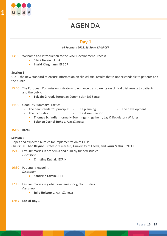

# AGENDA

## **Day 1**

## *14 February 2022, 13:30 to 17:45 CET*

13:30 Welcome and Introduction to the GLSP Development Process

- **Silvia Garcia**, EFPIA
- **Ingrid Klingmann**, EFGCP

## **Session 1**

GLSP, the new standard to ensure information on clinical trial results that is understandable to patients and the public

- 13:40 The European Commission's strategy to enhance transparency on clinical trial results to patients and the public
	- **Sylvain Giraud**, European Commission DG Santé

## 14:00 Good Lay Summary Practice:

- The new standard's principles The planning The development
- The translation The dissemination
	- **Thomas Schindler**, formally Boehringer-Ingelheim, Lay & Regulatory Writing
	- **Solange Corriol-Rohou**, AstraZeneca

## **15:30 Break**

## **Session 2**

Hopes and expected hurdles for implementation of GLSP

Chairs: **DK Theo Raynor**, Professor Emeritus, University of Leeds, and **Souzi Makri**, CYLPER

- 15:45 Lay Summaries in academia and publicly funded studies *Discussion*
	- **Christine Kubiak**, ECRIN
- 16:30 Patients' viewpoint *Discussion*
	- **Sandrine Lavalle,** LIH
- 17:15 Lay Summaries in global companies for global studies *Discussion*
	- **Julie Holtzople,** AstraZeneca
- **17:45 End of Day 1**

**1**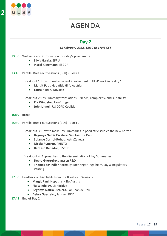

# AGENDA

## **Day 2**

## *15 February 2022, 13:30 to 17:45 CET*

- 13:30 Welcome and introduction to today's programme
	- **Silvia Garcia**, EFPIA
	- **Ingrid Klingmann**, EFGCP
- 13:40 Parallel Break-out Sessions (BOs) Block 1

Break-out 1: How to make patient involvement in GLSP work in reality?

- **Margit Paul**, Hepatitis Hilfe Austria
- **Laura Hagan,** Novartis

Break-out 2: Lay Summary translations – Needs, complexity, and suitability

- **Pia Windelov**, LionBridge
- **John Linnell**, US COPD Coalition

## **15:30 Break**

15:50 Parallel Break-out Sessions (BOs) - Block 2

Break-out 3: How to make Lay Summaries in paediatric studies the new norm?

- **Begonya Nafria Escalera**, San Joan de Déu
- **Solange Corriol-Rohou**, AstraZeneca
- **Nicola Ruperto,** PRINTO
- **Behtash Bahador,** CISCRP

Break-out 4: Approaches to the dissemination of Lay Summaries

- **Debra Guerreiro**, Janssen R&D
- **Thomas Schindler**, formally Boehringer-Ingelheim, Lay & Regulatory Writing
- 17:30 Feedback on highlights from the Break-out Sessions
	- **Margit Paul,** Hepatitis Hilfe Austria
	- **Pia Windelov,** LionBridge
	- **Begonya Nafria Escalera,** San Joan de Déu
	- **Debra Guerreiro,** Janssen R&D
- **17:45 End of Day 2**

**2**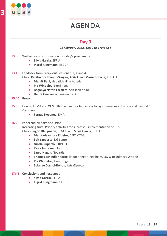

# AGENDA

## **Day 3**

## *21 February 2022, 13:30 to 17:45 CET*

- 13:30 Welcome and introduction to today's programme
	- **Silvia Garcia**, EFPIA
	- **Ingrid Klingmann**, EFGCP
- 13:40 Feedback from Break-out Sessions 1,2,3, and 4 Chair: **Kerstin Breithaupt-Grögler**, AGAH, and **Maria Dutarte**, EUPATI
	- **Margit Paul**, Hepatitis Hilfe Austria
	- **Pia Windelov**, LionBridge
	- **Begonya Nafria Escalera**, San Joan de Déu
	- **Debra Guerreiro,** Janssen R&D
- **15:40 Break**
- 15:55 How will EMA and CTIS fulfil the need for fair access to lay summaries in Europe and beyond? *Discussion*
	- **Fergus Sweeney,** EMA

## 16:25 Panel and plenary discussion

Increasing trust: Priority activities for successful implementation of GLSP Chairs: **Ingrid Klingmann**, EFGCP, and **Silvia Garcia**, EFPIA

- **Maria Alexandra Ribeiro,** CEIC, CTEG
- **Edit Szepessy**, DG Santé
- **Nicola Ruperto**, PRINTO
- **Kaisa Immonen**, EPF
- **Laura Hagan**, Novartis
- **Thomas Schindler**, formally Boehringer-Ingelheim, Lay & Regulatory Writing
- **Pia Windelov**, LionBridge
- **Solange Corriol-Rohou**, AstraZeneca

## **17:45 Conclusions and next steps**

- **Silvia Garcia**, EFPIA
- **Ingrid Klingmann**, EFGCP

**3**